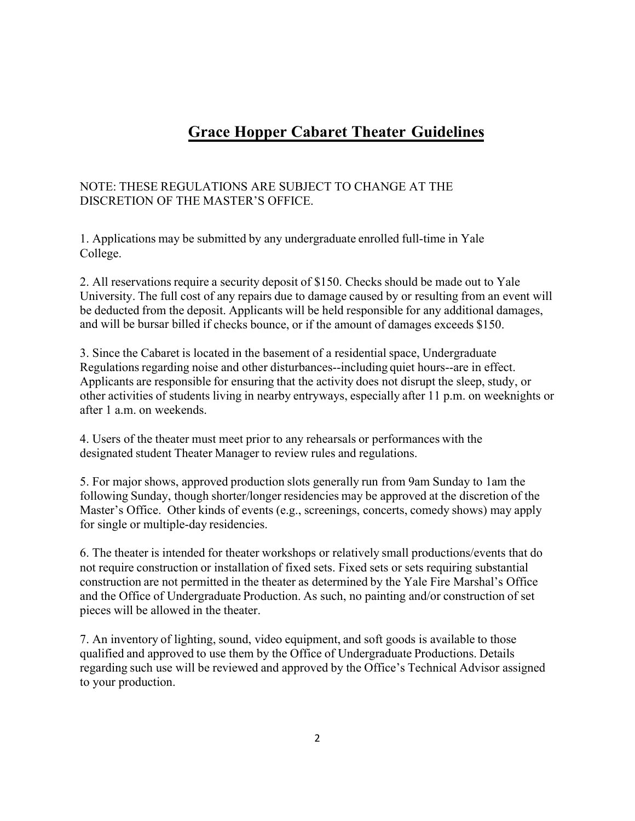## **Grace Hopper Cabaret Theater Guidelines**

## NOTE: THESE REGULATIONS ARE SUBJECT TO CHANGE AT THE DISCRETION OF THE MASTER'S OFFICE.

1. Applications may be submitted by any undergraduate enrolled full-time in Yale College.

2. All reservations require a security deposit of \$150. Checks should be made out to Yale University. The full cost of any repairs due to damage caused by or resulting from an event will be deducted from the deposit. Applicants will be held responsible for any additional damages, and will be bursar billed if checks bounce, or if the amount of damages exceeds \$150.

3. Since the Cabaret is located in the basement of a residential space, Undergraduate Regulations regarding noise and other disturbances--including quiet hours--are in effect. Applicants are responsible for ensuring that the activity does not disrupt the sleep, study, or other activities of students living in nearby entryways, especially after 11 p.m. on weeknights or after 1 a.m. on weekends.

4. Users of the theater must meet prior to any rehearsals or performances with the designated student Theater Manager to review rules and regulations.

5. For major shows, approved production slots generally run from 9am Sunday to 1am the following Sunday, though shorter/longer residencies may be approved at the discretion of the Master's Office. Other kinds of events (e.g., screenings, concerts, comedy shows) may apply for single or multiple-day residencies.

6. The theater is intended for theater workshops or relatively small productions/events that do not require construction or installation of fixed sets. Fixed sets or sets requiring substantial construction are not permitted in the theater as determined by the Yale Fire Marshal's Office and the Office of Undergraduate Production. As such, no painting and/or construction of set pieces will be allowed in the theater.

7. An inventory of lighting, sound, video equipment, and soft goods is available to those qualified and approved to use them by the Office of Undergraduate Productions. Details regarding such use will be reviewed and approved by the Office's Technical Advisor assigned to your production.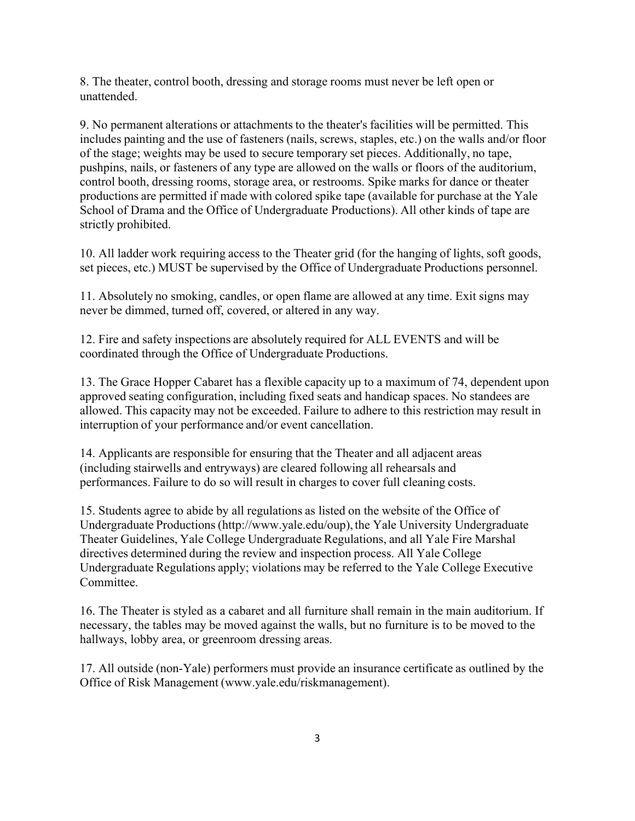8. The theater, control booth, dressing and storage rooms must never be left open or unattended.

9. No permanent alterations or attachments to the theater's facilities will be permitted. This includes painting and the use of fasteners (nails, screws, staples, etc.) on the walls and/or floor of the stage; weights may be used to secure temporary set pieces. Additionally, no tape, pushpins, nails, or fasteners of any type are allowed on the walls or floors of the auditorium, control booth, dressing rooms, storage area, or restrooms. Spike marks for dance or theater productions are permitted if made with colored spike tape (available for purchase at the Yale School of Drama and the Office of Undergraduate Productions). All other kinds of tape are strictly prohibited.

10. All ladder work requiring access to the Theater grid (for the hanging of lights, soft goods, set pieces, etc.) MUST be supervised by the Office of Undergraduate Productions personnel.

11. Absolutely no smoking, candles, or open flame are allowed at any time. Exit signs may never be dimmed, turned off, covered, or altered in any way.

12. Fire and safety inspections are absolutely required for ALL EVENTS and will be coordinated through the Office of Undergraduate Productions.

13. The Grace Hopper Cabaret has a flexible capacity up to a maximum of 74, dependent upon approved seating configuration, including fixed seats and handicap spaces. No standees are allowed. This capacity may not be exceeded. Failure to adhere to this restriction may result in interruption of your performance and/or event cancellation.

14. Applicants are responsible for ensuring that the Theater and all adjacent areas (including stairwells and entryways) are cleared following all rehearsals and performances. Failure to do so will result in charges to cover full cleaning costs.

15. Students agree to abide by all regulations as listed on the website of the Office of Undergraduate Productions [\(http://www.yale.edu/oup\), th](http://www.yale.edu/oup))e Yale University Undergraduate Theater Guidelines, Yale College Undergraduate Regulations, and all Yale Fire Marshal directives determined during the review and inspection process. All Yale College Undergraduate Regulations apply; violations may be referred to the Yale College Executive Committee.

16. The Theater is styled as a cabaret and all furniture shall remain in the main auditorium. If necessary, the tables may be moved against the walls, but no furniture is to be moved to the hallways, lobby area, or greenroom dressing areas.

17. All outside (non-Yale) performers must provide an insurance certificate as outlined by the Office of Risk Management (www.yale.edu/riskmanagement).